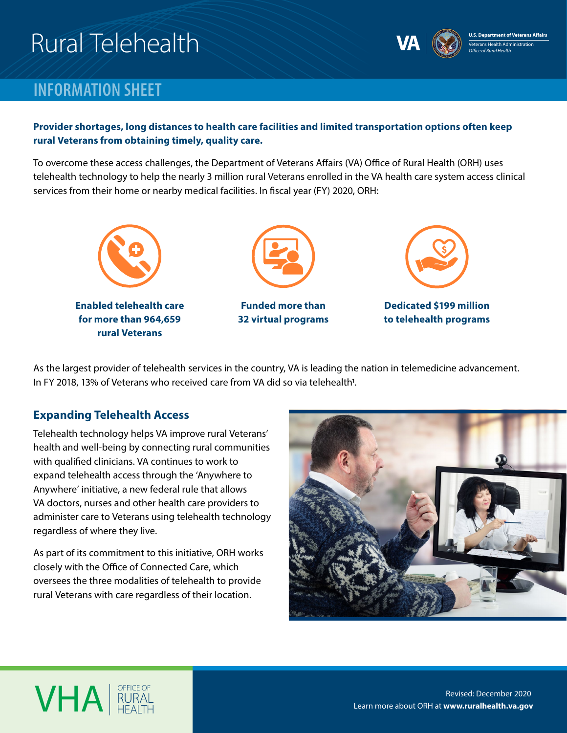# Rural Telehealth



## **INFORMATION SHEET**

#### **Provider shortages, long distances to health care facilities and limited transportation options often keep rural Veterans from obtaining timely, quality care.**

To overcome these access challenges, the Department of Veterans Affairs (VA) Office of Rural Health (ORH) uses telehealth technology to help the nearly 3 million rural Veterans enrolled in the VA health care system access clinical services from their home or nearby medical facilities. In fiscal year (FY) 2020, ORH:



As the largest provider of telehealth services in the country, VA is leading the nation in telemedicine advancement. In FY 2018, 13% of Veterans who received care from VA did so via telehealth<sup>1</sup>.

#### **Expanding Telehealth Access**

**VHA** RURAL

Telehealth technology helps VA improve rural Veterans' health and well-being by connecting rural communities with qualified clinicians. VA continues to work to expand telehealth access through the 'Anywhere to Anywhere' initiative, a new federal rule that allows VA doctors, nurses and other health care providers to administer care to Veterans using telehealth technology regardless of where they live.

As part of its commitment to this initiative, ORH works closely with the Office of Connected Care, which oversees the three modalities of telehealth to provide rural Veterans with care regardless of their location.